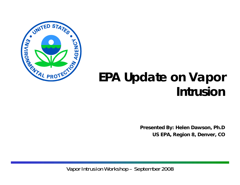

# **EPA Update on Vapor Intrusion**

**Presented By: Helen Dawson Ph D Dawson, Ph.D US EPA, Region 8, Denver, CO**

Vapor Intrusion Workshop – September 2008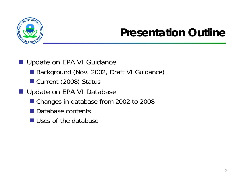

# **Presentation Outline**

- Update on EPA VI Guidance
	- Background (Nov. 2002, Draft VI Guidance)
	- Current (2008) Status
- Update on EPA VI Database
	- Changes in database from 2002 to 2008
	- Database contents
	- Uses of the database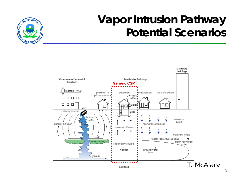

# **Vapor Intrusion Pathway Potential Scenarios**

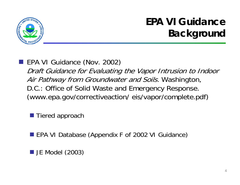

# **EPA VI Guidance Background**

EPA VI Guidance (Nov. 2002) Draft Guidance for Evaluating the Vapor Intrusion to Indoor Air Pathway from Groundwater and Soils. Washington, D.C.: Office of Solid Waste and Emergency Response. (www.epa.gov/correctiveaction/ eis/vapor/complete.pdf)

Tiered approach

■ EPA VI Database (Appendix F of 2002 VI Guidance)

 $\blacksquare$  JE Model (2003)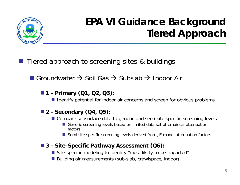

# **EPA VI Guidance Background Tiered Approach**

- Tiered approach to screening sites & buildings
	- Groundwater  $\rightarrow$  Soil Gas  $\rightarrow$  Subslab  $\rightarrow$  Indoor Air

#### **1 - Primary (Q1, Q2, Q3):**

**I** Identify potential for indoor air concerns and screen for obvious problems

#### **2 - Secondary (Q4, Q5):**

- Compare subsurface data to generic and semi-site specific screening levels
	- Generic screening levels based on limited data set of empirical attenuation factors
	- Semi-site specific screening levels derived from JE model attenuation factors

#### **3 - Site-Specific Pathway Assessment (Q6):**

- Site-specific modeling to identify "most-likely-to-be-impacted"
- Building air measurements (sub-slab, crawlspace, indoor)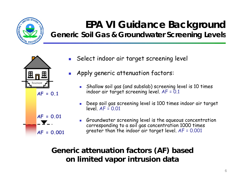

# **EPA VI Guidance Background**

**Generic Soil Gas & Groundwater Screening Levels**



- F. Select indoor air target screening level
- F. Apply generic attenuation factors:
	- $\blacksquare$  Shallow soil gas (and subslab) screening level is 10 times indoor air target screening level. AF = 0.1
	- Deep soil gas screening level is 100 times indoor air target  $level$   $AF = 0.01$
	- П Groundwater screening level is the aqueous concentration corresponding to a soil gas concentration 1000 times greater than the indoor air target level. AF = 0.001

#### **Generic attenuation factors (AF) based basedon limited vapor intrusion data**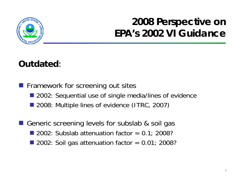

## **2008 Perspective on EPA s 2002 VI Guidance 's**

#### **Outdated**:

**Firamework for screening out sites** ■ 2002: Sequential use of single media/lines of evidence ■ 2008: Multiple lines of evidence (ITRC, 2007)

Generic screening levels for subslab & soil gas 2002: Subslab attenuation factor  $= 0.1$ ; 2008? 2002: Soil gas attenuation factor  $= 0.01$ ; 2008?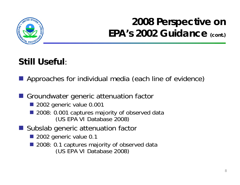

# **2008 Perspective on**  EPA<sup>'</sup>s 2002 Guidance (cont.)

### **Still Useful**:

 $\blacksquare$  Approaches for individual media (each line of evidence)

Groundwater generic attenuation factor

- 2002 generic value 0.001
- 2008: 0.001 captures majority of observed data (US EPA VI Database 2008)
- Subslab generic attenuation factor
	- 2002 generic value 0.1
	- 2008: 0.1 captures majority of observed data (US EPA VI Database 2008)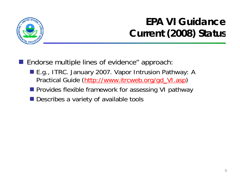

## **EPA VI Guidance Current (2008) Status**

- **Endorse multiple lines of evidence" approach:** 
	- E.g., ITRC. January 2007. Vapor Intrusion Pathway: A Practical Guide ( (http://www itrcweb org/gd VI asp http://www.itrcweb.org/gd\_VI.asp)
	- **Perovides flexible framework for assessing VI pathway**
	- **Describes a variety of available tools**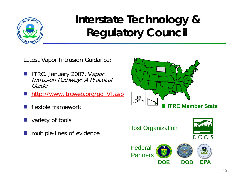

# **Interstate Technology & Regulatory Council**

Latest Vapor Intrusion Guidance:

- **ITRC. January 2007.** Vapor Intrusion Pathway: A Practical Guide
- http://www.itrcweb.org/gd\_VI.asp
- kan.<br>Kabupatèn flexible framework
- $\mathbb{R}^3$ variety of tools
- $\mathbb{R}^3$ multiple-lines of evidence



Host Organization



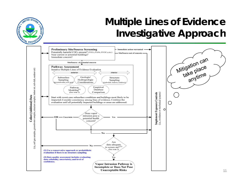

## **Multiple Lines of Evidence Investigative Approach**

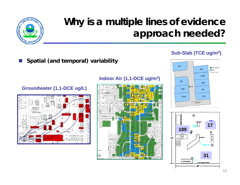

### **Why is a multiple lines of evidence approach needed?**

#### F. **E** Spatial (and temporal) variability

#### **Groundwater (1,1-DCE ug/L)**



#### **Indoor Air (1,1-DCE u g/m 3) ( ,**



#### **Sub-Slab (TCE ug/m 3)**



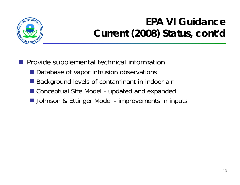

# **EPA VI Guidance**   $Current (2008) Status, cont'd$

- **Provide supplemental technical information** 
	- **Database of vapor intrusion observations**
	- Background levels of contaminant in indoor air
	- Conceptual Site Model updated and expanded
	- **I** Johnson & Ettinger Model improvements in inputs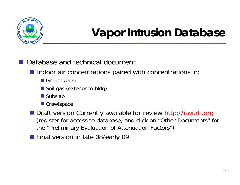

# **Vapor Intrusion Database**

■ Database and technical document

**Indoor air concentrations paired with concentrations in:** 

- Groundwater
- Soil gas (exterior to bldg)
- Subslab
- Crawlspace
- Draft version Currently available for review http://iavi.rti.org (register for access to database, and click on "Other Documents" for the "Preliminary Evaluation of Attenuation Factors")
- **Final version in late 08/early 09**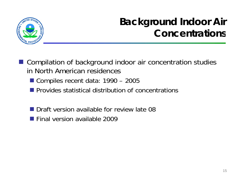

## **Background Indoor Air Concentrations**

- Compilation of background indoor air concentration studies in North American residences
	- Compiles recent data: 1990 – 2005
	- $\blacksquare$  Provides statistical distribution of concentrations
	- **Draft version available for review late 08**
	- **Final version available 2009**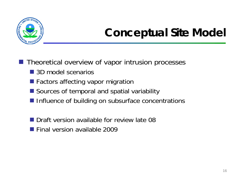

# **Conceptual Site Model**

 $\blacksquare$  Theoretical overview of vapor intrusion processes

- 3D model scenarios
- **E** Factors affecting vapor migration
- Sources of temporal and spatial variability
- **Influence of building on subsurface concentrations**
- Draft version available for review late 08
- **Final version available 2009**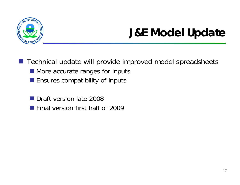

# **J&E Model Update**

■ Technical update will provide improved model spreadsheets

- More accurate ranges for inputs
- **Ensures compatibility of inputs**
- Draft version late 2008
- **Final version first half of 2009**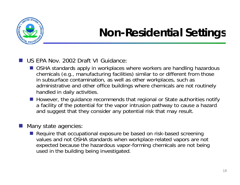

# **Non-Residential Settings**

#### US EPA Nov. 2002 Draft VI Guidance:

- OSHA standards apply in workplaces where workers are handling hazardous chemicals (e.g., manufacturing facilities) similar to or different from those in subsurface contamination, as well as other workplaces, such as administrative and other office buildings where chemicals are not routinely handled in daily activities.
- **However, the guidance recommends that regional or State authorities notify** a facility of the potential for the vapor intrusion pathway to cause a hazard and suggest that they consider any potential risk that may result.

#### Many state agencies:

■ Require that occupational exposure be based on risk-based screening values and not OSHA standards when workplace-related vapors are not expected because the hazardous vapor-forming chemicals are not being used in the building being investigated.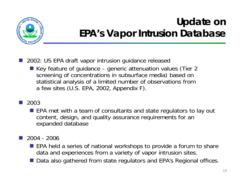

## **Update on EPA**'s Vapor Intrusion Database

- 2002: US EPA draft vapor intrusion guidance released
	- Key feature of guidance generic attenuation values (Tier 2 screening of concentrations in subsurface media) based on statistical analysis of <sup>a</sup> limited number of observations from a few sites (U.S. EPA, 2002, Appendix F).
- 2003
	- **EPA** met with a team of consultants and state regulators to lay out content, design, and quality assurance requirements for an expanded database
- $\mathbb{R}^3$  2004 - 2006
	- **EPA held a series of national workshops to provide a forum to share** data and experiences from a variety of vapor intrusion sites.
	- Data also gathered from state regulators and EPA's Regional offices.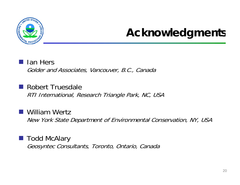

# **Acknowledgments**

#### **■ Ian Hers**

Golder and Associates, Vancouver, B.C., Canada

 Robert Truesdale RTI International, Research Triangle Park, NC, USA

■ William Wertz New York State Department of Environmental Conservation, NY, USA

■ Todd McAlary Geosyntec Consultants, Toronto, Ontario, Canada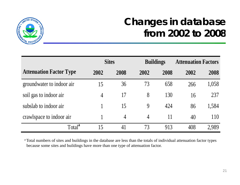

## **Changes in database from 2002 to 2008**

|                                | <b>Sites</b>   |                | <b>Buildings</b> |      | <b>Attenuation Factors</b> |       |
|--------------------------------|----------------|----------------|------------------|------|----------------------------|-------|
| <b>Attenuation Factor Type</b> | 2002           | 2008           | 2002             | 2008 | 2002                       | 2008  |
| groundwater to indoor air      | 15             | 36             | 73               | 658  | 266                        | 1,058 |
| soil gas to indoor air         | $\overline{4}$ | 17             | 8                | 130  | 16                         | 237   |
| subslab to indoor air          |                | 15             | 9                | 424  | 86                         | 1,584 |
| crawlspace to indoor air       |                | $\overline{4}$ | $\overline{4}$   | 11   | 40                         | 110   |
| Total <sup>a</sup>             | 15             | 41             | 73               | 913  | 408                        | 2,989 |

<sup>a</sup> Total numbers of sites and buildings in the database are less than the totals of individual attenuation factor types because some sites and buildings have more than one type of attenuation factor.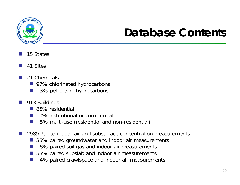

# **Database Contents**

- F. 15 States
- F. 41 Sites
- F. 21 Chemicals
	- 97% chlorinated hydrocarbons
	- F. 3% petroleum hydrocarbons
- **913 Buildings** 
	- 85% residential
	- F. 10% institutional or commercial
	- **COL** 5% multi-use (residential and non-residential)
- F. 2989 Paired indoor air and subsurface concentration measurements
	- 35% paired groundwater and indoor air measurements
	- F. 8% paired soil gas and indoor air measurements
	- F. 53% paired subslab and indoor air measurements
	- F. 4% paired crawlspace and indoor air measurements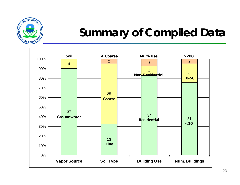

# **Summary of Compiled Data**

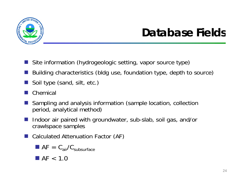

# **Database Fields**

- Site information (hydrogeologic setting, vapor source type)
- Building characteristics (bldg use, foundation type, depth to source)
- $\frac{1}{2}$ ■ Soil type (sand, silt, etc.)
- Chemical
- Sampling and analysis information (sample location collection (sample location, collection period, analytical method)
- Indoor air paired with groundwater, sub-slab, soil gas, and/or crawlspace samples
- Calculated Attenuation Factor (AF)

$$
\blacksquare \; AF = C_{air}/C_{subsurface}
$$

 $\blacksquare$  AF  $< 1.0$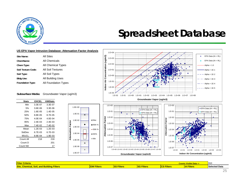

### **Spreadsheet Database**

#### **US EPA Vapor Intrusion Database: Attenuation Factor Analysis**

| Site Name:              | <b>All Sites</b>     |
|-------------------------|----------------------|
| ChemName:               | <b>All Chemicals</b> |
| Chem Type:              | All Chemical Types   |
| Soil Texture Code:      | All Soil Textures    |
| Soil Type:              | All Soil Types       |
| <b>Bldg Use:</b>        | All Building Uses    |
| <b>Foundation Type:</b> | All Foundation Types |

#### **Subsurface Media:** Groundwater Vapor (ug/m3)

| Min<br>3.3E-07<br>$3.6E-06$<br>5%<br>1.6E-05<br>25% | 3.3E-07<br>$3.3E-06$ |
|-----------------------------------------------------|----------------------|
|                                                     |                      |
|                                                     |                      |
|                                                     | $1.4E - 05$          |
| 50%<br>8.8E-05                                      | 8.7F-05              |
| $4.0E - 04$<br>75%                                  | 4.0F-04              |
| $2.4F-0.3$<br>95%                                   | $2.4F - 0.3$         |
| Max<br>7.4E-02                                      | 7.4E-02              |
| $1.2E - 0.3$<br>Mean                                | $1.2E - 03$          |
| StdDev<br>6.7E-03                                   | 6.7F-03              |
| 95UCL<br>8.9E-04                                    | 1.9E-03              |
| Count All<br>218                                    | 218                  |
| Count D                                             | 201                  |
| Count ND                                            | 17                   |









| <b>Filter</b><br>-<br>u Data-r<br><b>S VISIDIA</b><br><b>Sour</b> |               |                              |                        |                                              |                                       | 91(                  |
|-------------------------------------------------------------------|---------------|------------------------------|------------------------|----------------------------------------------|---------------------------------------|----------------------|
| Site.<br><b>The State</b><br>$\sim$<br><b>Filters</b><br>dinal    | ïlters<br>. . | <b>CONTRACTOR</b><br>'Iliter | <b>DO FU</b><br>Eilter | $\sim$ $\sim$ $\sim$ $\sim$ $\sim$<br>altor. | <b>The Committee of the Committee</b> | <b>Selected Data</b> |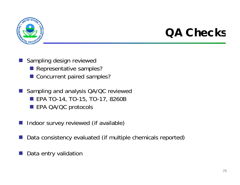

# **QA Checks**

- **Sampling design reviewed** 
	- **Representative samples?**
	- Concurrent paired samples?
- $\frac{1}{2}$  Sampling and analysis QA/QC reviewed ■ EPA TO-14, TO-15, TO-17, 8260B **EPA QA/QC protocols**
- Indoor survey reviewed (if available)
- Data consistency evaluated (if multiple chemicals reported)
- Data entry validation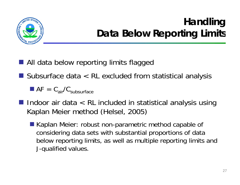

### **Handling Data Below Reporting Limits**

- All data below reporting limits flagged
- Subsurface data < RL excluded from statistical analysis

 $\blacksquare$  AF =  $C_{\text{air}}/C_{\text{subsurface}}$ 

- $\blacksquare$  Indoor air data  $\lt R$ L included in statistical analysis using Kaplan Meier method (Helsel, 2005)
	- Kaplan Meier: robust non-parametric method capable of considering data sets with substantial proportions of data below reporting limits, as well as multiple reporting limits and J-qualified values. qualified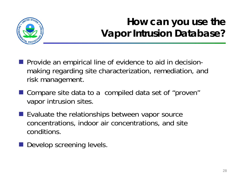

# **How can you use the Vapor Intrusion Database?**

- **Provide an empirical line of evidence to aid in decision**making regarding site characterization, remediation, and risk management.
- Compare site data to a compiled data set of "proven" va por intrusion sites.
- $\blacksquare$  Evaluate the relationships between vapor source concentrations, indoor air concentrations, and site conditions.
- **Develop screening levels.**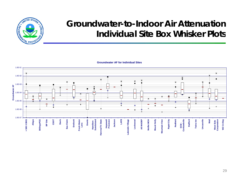

#### **Groundwater-to-Indoor Air AttenuationIndividual Site Box Whisker Plots**

**Groundwater AF for Individual Sites**

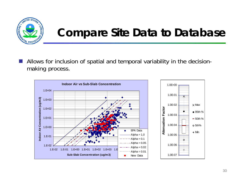![](_page_29_Picture_0.jpeg)

# **Compare Site Data to Database**

 $\mathcal{L}^{\text{max}}$  Allows for inclusion of spatial and temporal variability in the decisionmaking process.

![](_page_29_Figure_3.jpeg)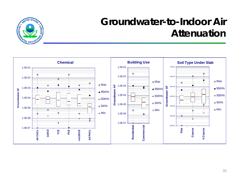![](_page_30_Picture_0.jpeg)

### **Groundwater-to-Indoor Air Attenuation**

![](_page_30_Figure_2.jpeg)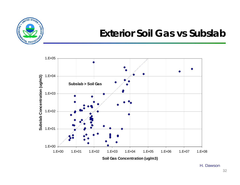![](_page_31_Picture_0.jpeg)

### **Exterior Soil Gas vs Subslab**

![](_page_31_Figure_2.jpeg)

H. Dawson